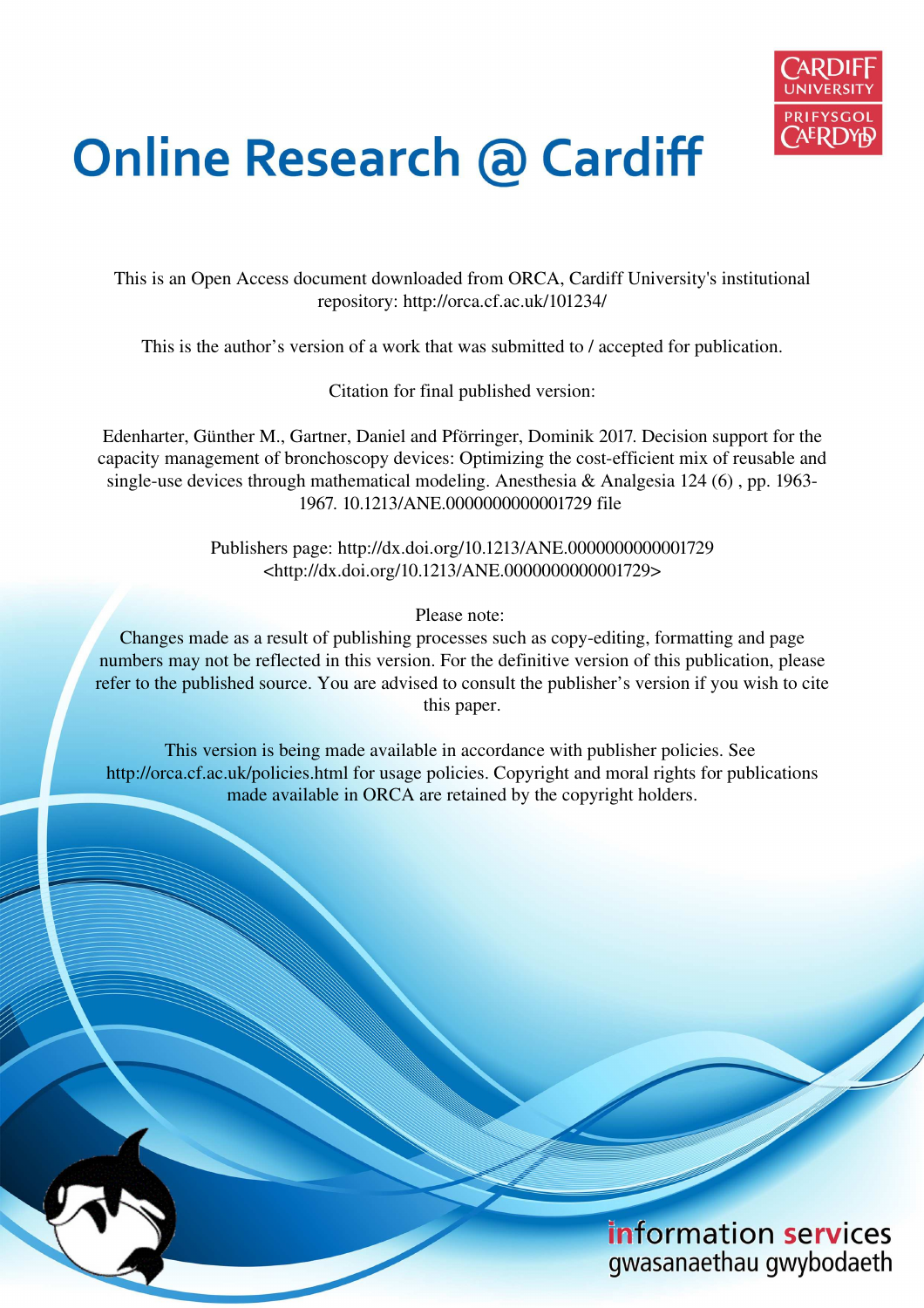

# **Online Research @ Cardiff**

This is an Open Access document downloaded from ORCA, Cardiff University's institutional repository: http://orca.cf.ac.uk/101234/

This is the author's version of a work that was submitted to / accepted for publication.

Citation for final published version:

Edenharter, Günther M., Gartner, Daniel and Pförringer, Dominik 2017. Decision support for the capacity management of bronchoscopy devices: Optimizing the cost-efficient mix of reusable and single-use devices through mathematical modeling. Anesthesia & Analgesia 124 (6) , pp. 1963- 1967. 10.1213/ANE.0000000000001729 file

> Publishers page: http://dx.doi.org/10.1213/ANE.0000000000001729 <http://dx.doi.org/10.1213/ANE.0000000000001729>

> > Please note:

Changes made as a result of publishing processes such as copy-editing, formatting and page numbers may not be reflected in this version. For the definitive version of this publication, please refer to the published source. You are advised to consult the publisher's version if you wish to cite this paper.

This version is being made available in accordance with publisher policies. See http://orca.cf.ac.uk/policies.html for usage policies. Copyright and moral rights for publications made available in ORCA are retained by the copyright holders.

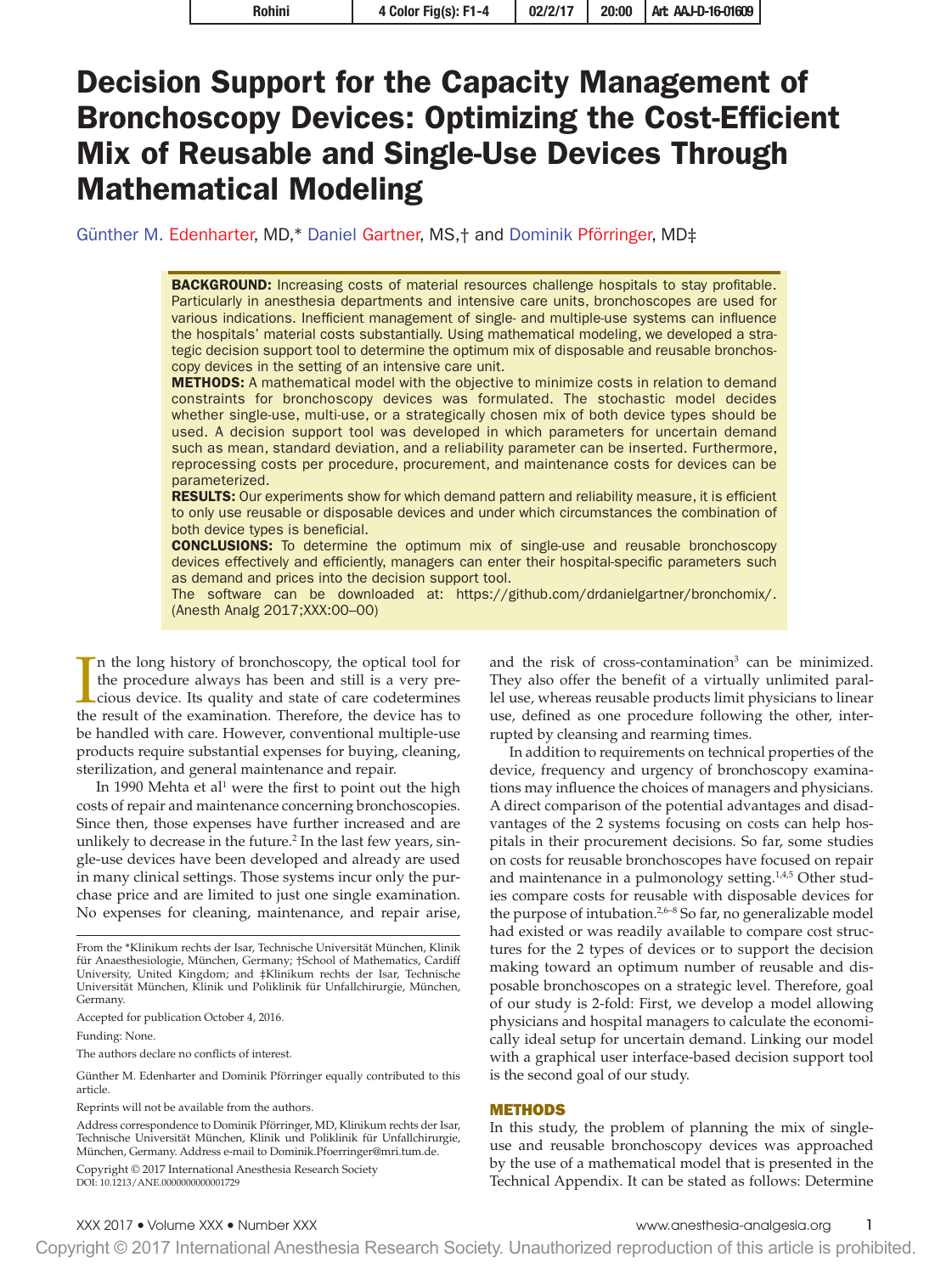## Decision Support for the Capacity Management of Bronchoscopy Devices: Optimizing the Cost-Efficient Mix of Reusable and Single-Use Devices Through Mathematical Modeling

Günther M. Edenharter, MD,\* Daniel Gartner, MS,† and Dominik Pförringer, MD‡

BACKGROUND: Increasing costs of material resources challenge hospitals to stay profitable. Particularly in anesthesia departments and intensive care units, bronchoscopes are used for various indications. Ineficient management of single- and multiple-use systems can inluence the hospitals' material costs substantially. Using mathematical modeling, we developed a strategic decision support tool to determine the optimum mix of disposable and reusable bronchoscopy devices in the setting of an intensive care unit.

**METHODS:** A mathematical model with the objective to minimize costs in relation to demand constraints for bronchoscopy devices was formulated. The stochastic model decides whether single-use, multi-use, or a strategically chosen mix of both device types should be used. A decision support tool was developed in which parameters for uncertain demand such as mean, standard deviation, and a reliability parameter can be inserted. Furthermore, reprocessing costs per procedure, procurement, and maintenance costs for devices can be parameterized.

RESULTS: Our experiments show for which demand pattern and reliability measure, it is efficient to only use reusable or disposable devices and under which circumstances the combination of both device types is beneficial.

CONCLUSIONS: To determine the optimum mix of single-use and reusable bronchoscopy devices effectively and efficiently, managers can enter their hospital-specific parameters such as demand and prices into the decision support tool.

The software can be downloaded at: [https://github.com/drdanielgartner/bronchomix/.](https://github.com/drdanielgartner/bronchomix/) (Anesth Analg 2017;XXX:00–00)

In the long history of bronchoscopy, the optical tool for the procedure always has been and still is a very precious device. Its quality and state of care codetermines the result of the examination. Therefore, the device h n the long history of bronchoscopy, the optical tool for the procedure always has been and still is a very precious device. Its quality and state of care codetermines be handled with care. However, conventional multiple-use products require substantial expenses for buying, cleaning, sterilization, and general maintenance and repair.

In 1990 Mehta et al<sup>1</sup> were the first to point out the high costs of repair and maintenance concerning bronchoscopies. Since then, those expenses have further increased and are unlikely to decrease in the future.<sup>2</sup> In the last few years, single-use devices have been developed and already are used in many clinical settings. Those systems incur only the purchase price and are limited to just one single examination. No expenses for cleaning, maintenance, and repair arise,

Funding: None.

DOI: 10.1213/ANE.0000000000001729

and the risk of cross-contamination<sup>3</sup> can be minimized. They also offer the benefit of a virtually unlimited parallel use, whereas reusable products limit physicians to linear use, defined as one procedure following the other, interrupted by cleansing and rearming times.

In addition to requirements on technical properties of the device, frequency and urgency of bronchoscopy examinations may inluence the choices of managers and physicians. A direct comparison of the potential advantages and disadvantages of the 2 systems focusing on costs can help hospitals in their procurement decisions. So far, some studies on costs for reusable bronchoscopes have focused on repair and maintenance in a pulmonology setting.<sup>1,4,5</sup> Other studies compare costs for reusable with disposable devices for the purpose of intubation.<sup>2,6-8</sup> So far, no generalizable model had existed or was readily available to compare cost structures for the 2 types of devices or to support the decision making toward an optimum number of reusable and disposable bronchoscopes on a strategic level. Therefore, goal of our study is 2-fold: First, we develop a model allowing physicians and hospital managers to calculate the economically ideal setup for uncertain demand. Linking our model with a graphical user interface-based decision support tool is the second goal of our study.

#### METHODS

In this study, the problem of planning the mix of singleuse and reusable bronchoscopy devices was approached by the use of a mathematical model that is presented in the Technical Appendix. It can be stated as follows: Determine

From the \*Klinikum rechts der Isar, Technische Universität München, Klinik für Anaesthesiologie, München, Germany; †School of Mathematics, Cardiff University, United Kingdom; and ‡Klinikum rechts der Isar, Technische Universität München, Klinik und Poliklinik für Unfallchirurgie, München, Germany.

Accepted for publication October 4, 2016.

The authors declare no conflicts of interest.

Günther M. Edenharter and Dominik Pförringer equally contributed to this article.

Reprints will not be available from the authors.

Copyright © 2017 International Anesthesia Research Society Address correspondence to Dominik Pförringer, MD, Klinikum rechts der Isar, Technische Universität München, Klinik und Poliklinik für Unfallchirurgie, München, Germany. Address e-mail to [Dominik.Pfoerringer@mri.tum.de.](mailto:Dominik.Pfoerringer@mri.tum.de)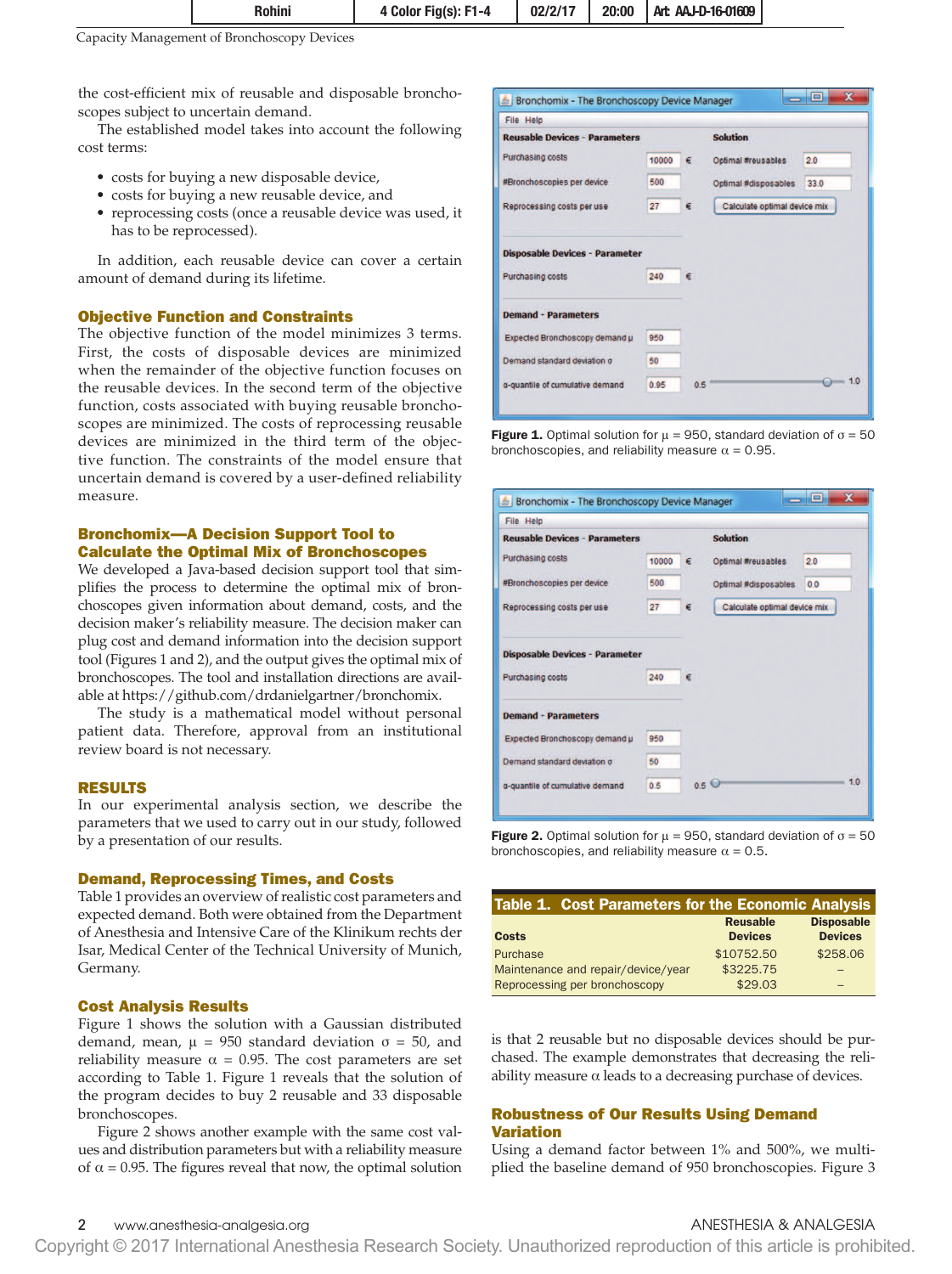| 02/2/17<br>4 Color Fig(s): F1-4<br>Rohini | 20:00 | Art AAJ-D-16-01609 |  |
|-------------------------------------------|-------|--------------------|--|
|-------------------------------------------|-------|--------------------|--|

Capacity Management of Bronchoscopy Devices

the cost-eficient mix of reusable and disposable bronchoscopes subject to uncertain demand.

The established model takes into account the following cost terms:

- costs for buying a new disposable device,
- • costs for buying a new reusable device, and
- • reprocessing costs (once a reusable device was used, it has to be reprocessed).

In addition, each reusable device can cover a certain amount of demand during its lifetime.

#### Objective Function and Constraints

The objective function of the model minimizes 3 terms. First, the costs of disposable devices are minimized when the remainder of the objective function focuses on the reusable devices. In the second term of the objective function, costs associated with buying reusable bronchoscopes are minimized. The costs of reprocessing reusable devices are minimized in the third term of the objective function. The constraints of the model ensure that uncertain demand is covered by a user-deined reliability measure.

#### Bronchomix—A Decision Support Tool to Calculate the Optimal Mix of Bronchoscopes

We developed a Java-based decision support tool that simplifies the process to determine the optimal mix of bronchoscopes given information about demand, costs, and the decision maker's reliability measure. The decision maker can plug cost and demand information into the decision support tool (Figures 1 and 2), and the output gives the optimal mix of bronchoscopes. The tool and installation directions are available at [https://github.com/drdanielgartner/bronchomix.](https://github.com/drdanielgartner/bronchomix)

The study is a mathematical model without personal patient data. Therefore, approval from an institutional review board is not necessary.

#### RESULTS

In our experimental analysis section, we describe the parameters that we used to carry out in our study, followed by a presentation of our results.

#### Demand, Reprocessing Times, and Costs

Table 1 provides an overview of realistic cost parameters and expected demand. Both were obtained from the Department of Anesthesia and Intensive Care of the Klinikum rechts der Isar, Medical Center of the Technical University of Munich, Germany.

#### Cost Analysis Results

Figure 1 shows the solution with a Gaussian distributed demand, mean,  $\mu = 950$  standard deviation  $\sigma = 50$ , and reliability measure  $\alpha = 0.95$ . The cost parameters are set according to Table 1. Figure 1 reveals that the solution of the program decides to buy 2 reusable and 33 disposable bronchoscopes.

Figure 2 shows another example with the same cost values and distribution parameters but with a reliability measure of  $\alpha$  = 0.95. The figures reveal that now, the optimal solution

| File Help                            |       |   |                              |      |
|--------------------------------------|-------|---|------------------------------|------|
| <b>Reusable Devices - Parameters</b> |       |   | <b>Solution</b>              |      |
| Purchasing costs                     | 10000 | € | Optimal #reusables           | 2.0  |
| #Bronchoscopies per device           | 500   |   | Optimal #disposables         | 33.0 |
| Reprocessing costs per use           | 27    | € | Calculate optimal device mix |      |
| Purchasing costs                     | 240   |   |                              |      |
|                                      |       |   |                              |      |
| <b>Demand - Parameters</b>           |       |   |                              |      |
|                                      |       |   |                              |      |
| Expected Bronchoscopy demand µ       | 950   |   |                              |      |
| Demand standard deviation of         | 50    |   |                              |      |

Figure 1. Optimal solution for  $\mu$  = 950, standard deviation of  $\sigma$  = 50 bronchoscopies, and reliability measure  $\alpha$  = 0.95.

| File Help                             |       |   |                              |     |
|---------------------------------------|-------|---|------------------------------|-----|
| <b>Reusable Devices - Parameters</b>  |       |   | <b>Solution</b>              |     |
| <b>Purchasing costs</b>               | 10000 | £ | Optimal #reusables           | 20  |
| #Bronchoscopies per device            | 500   |   | Optimal #disposables         | 0.0 |
| Reprocessing costs per use            | 27    | € | Calculate optimal device mix |     |
| <b>Disposable Devices - Parameter</b> |       |   |                              |     |
| <b>Purchasing costs</b>               | 240   | € |                              |     |
| <b>Demand - Parameters</b>            |       |   |                              |     |
| Expected Bronchoscopy demand µ        | 950   |   |                              |     |
| Demand standard deviation of          | 50    |   |                              |     |
|                                       | 0.5   |   | $0.5$ $\circ$                | 1.0 |

**Figure 2.** Optimal solution for  $\mu$  = 950, standard deviation of  $\sigma$  = 50 bronchoscopies, and reliability measure  $\alpha = 0.5$ .

| Table 1. Cost Parameters for the Economic Analysis |                                   |                                     |
|----------------------------------------------------|-----------------------------------|-------------------------------------|
| <b>Costs</b>                                       | <b>Reusable</b><br><b>Devices</b> | <b>Disposable</b><br><b>Devices</b> |
| Purchase                                           | \$10752.50                        | \$258.06                            |
| Maintenance and repair/device/year                 | \$3225.75                         |                                     |
| Reprocessing per bronchoscopy                      | \$29.03                           |                                     |

is that 2 reusable but no disposable devices should be purchased. The example demonstrates that decreasing the reliability measure  $\alpha$  leads to a decreasing purchase of devices.

#### Robustness of Our Results Using Demand Variation

Using a demand factor between 1% and 500%, we multiplied the baseline demand of 950 bronchoscopies. Figure 3

### 2 www.anesthesia-analgesia.org ANESTHESIA & ANALGESIA

Copyright © 2017 International Anesthesia Research Society. Unauthorized reproduction of this article is prohibited.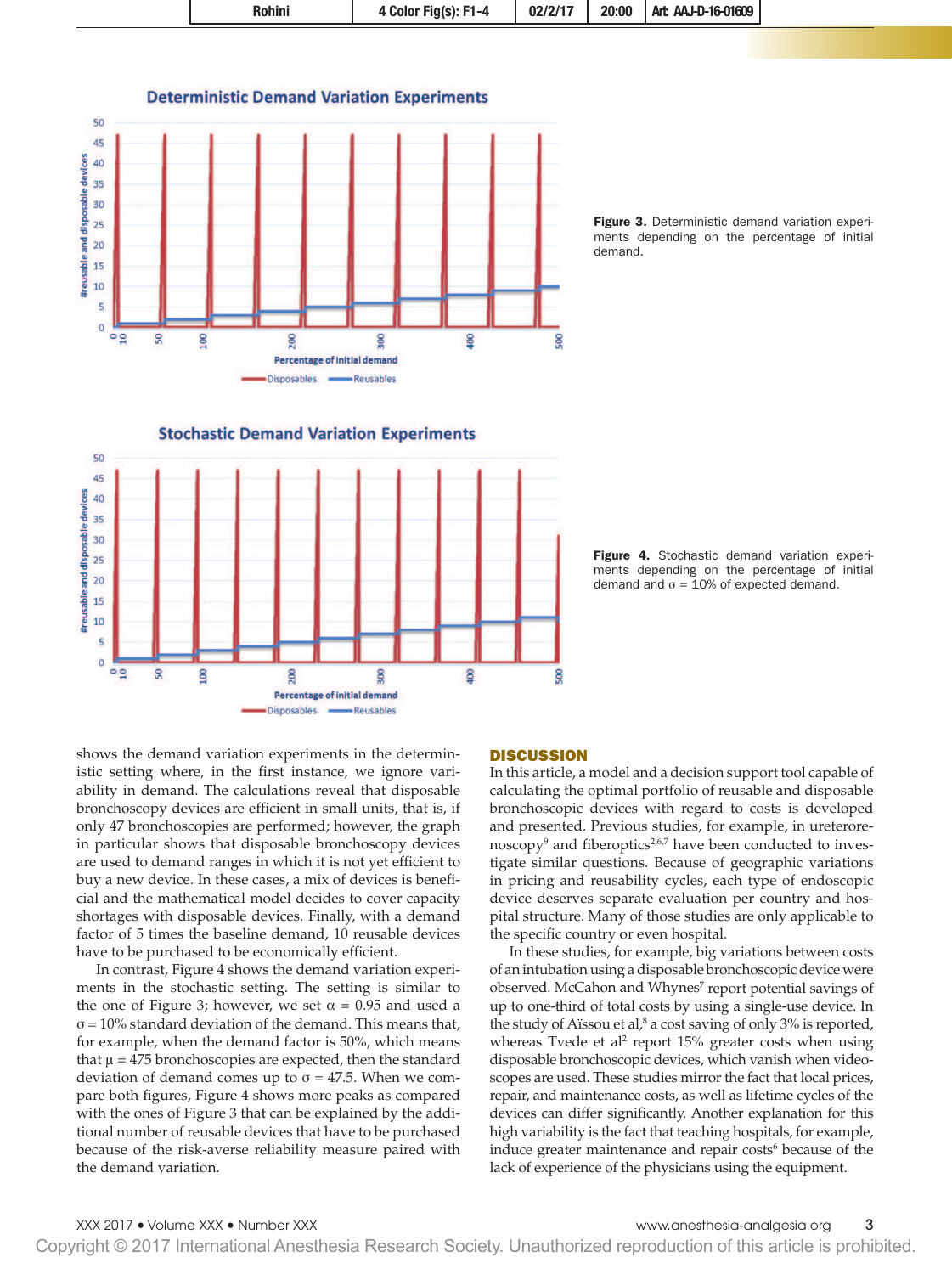| 02/2/17<br>4 Color Fig(s): F1-4<br>Rohini | 20:00   Art AAJ-D-16-01609 |
|-------------------------------------------|----------------------------|
|-------------------------------------------|----------------------------|

**Deterministic Demand Variation Experiments** 



Figure 3. Deterministic demand variation experiments depending on the percentage of initial demand.



Figure 4. Stochastic demand variation experiments depending on the percentage of initial demand and  $\sigma = 10\%$  of expected demand.

shows the demand variation experiments in the deterministic setting where, in the first instance, we ignore variability in demand. The calculations reveal that disposable bronchoscopy devices are eficient in small units, that is, if only 47 bronchoscopies are performed; however, the graph in particular shows that disposable bronchoscopy devices are used to demand ranges in which it is not yet eficient to buy a new device. In these cases, a mix of devices is beneicial and the mathematical model decides to cover capacity shortages with disposable devices. Finally, with a demand factor of 5 times the baseline demand, 10 reusable devices have to be purchased to be economically eficient.

In contrast, Figure 4 shows the demand variation experiments in the stochastic setting. The setting is similar to the one of Figure 3; however, we set  $α = 0.95$  and used a  $\sigma$  = 10% standard deviation of the demand. This means that, for example, when the demand factor is 50%, which means that  $\mu$  = 475 bronchoscopies are expected, then the standard deviation of demand comes up to  $\sigma$  = 47.5. When we compare both igures, Figure 4 shows more peaks as compared with the ones of Figure 3 that can be explained by the additional number of reusable devices that have to be purchased because of the risk-averse reliability measure paired with the demand variation.

#### **DISCUSSION**

In this article, a model and a decision support tool capable of calculating the optimal portfolio of reusable and disposable bronchoscopic devices with regard to costs is developed and presented. Previous studies, for example, in ureterorenoscopy<sup>9</sup> and fiberoptics<sup>2,6,7</sup> have been conducted to investigate similar questions. Because of geographic variations in pricing and reusability cycles, each type of endoscopic device deserves separate evaluation per country and hospital structure. Many of those studies are only applicable to the specific country or even hospital.

In these studies, for example, big variations between costs of an intubation using a disposable bronchoscopic device were observed. McCahon and Whynes<sup>7</sup> report potential savings of up to one-third of total costs by using a single-use device. In the study of Aïssou et al, $^8$  a cost saving of only 3% is reported, whereas Tvede et al<sup>2</sup> report  $15\%$  greater costs when using disposable bronchoscopic devices, which vanish when videoscopes are used. These studies mirror the fact that local prices, repair, and maintenance costs, as well as lifetime cycles of the devices can differ significantly. Another explanation for this high variability is the fact that teaching hospitals, for example, induce greater maintenance and repair costs<sup>6</sup> because of the lack of experience of the physicians using the equipment.

XXX 2017 • Volume XXX • Number XXX www.anesthesia-analgesia.org 3

Copyright © 2017 International Anesthesia Research Society. Unauthorized reproduction of this article is prohibited.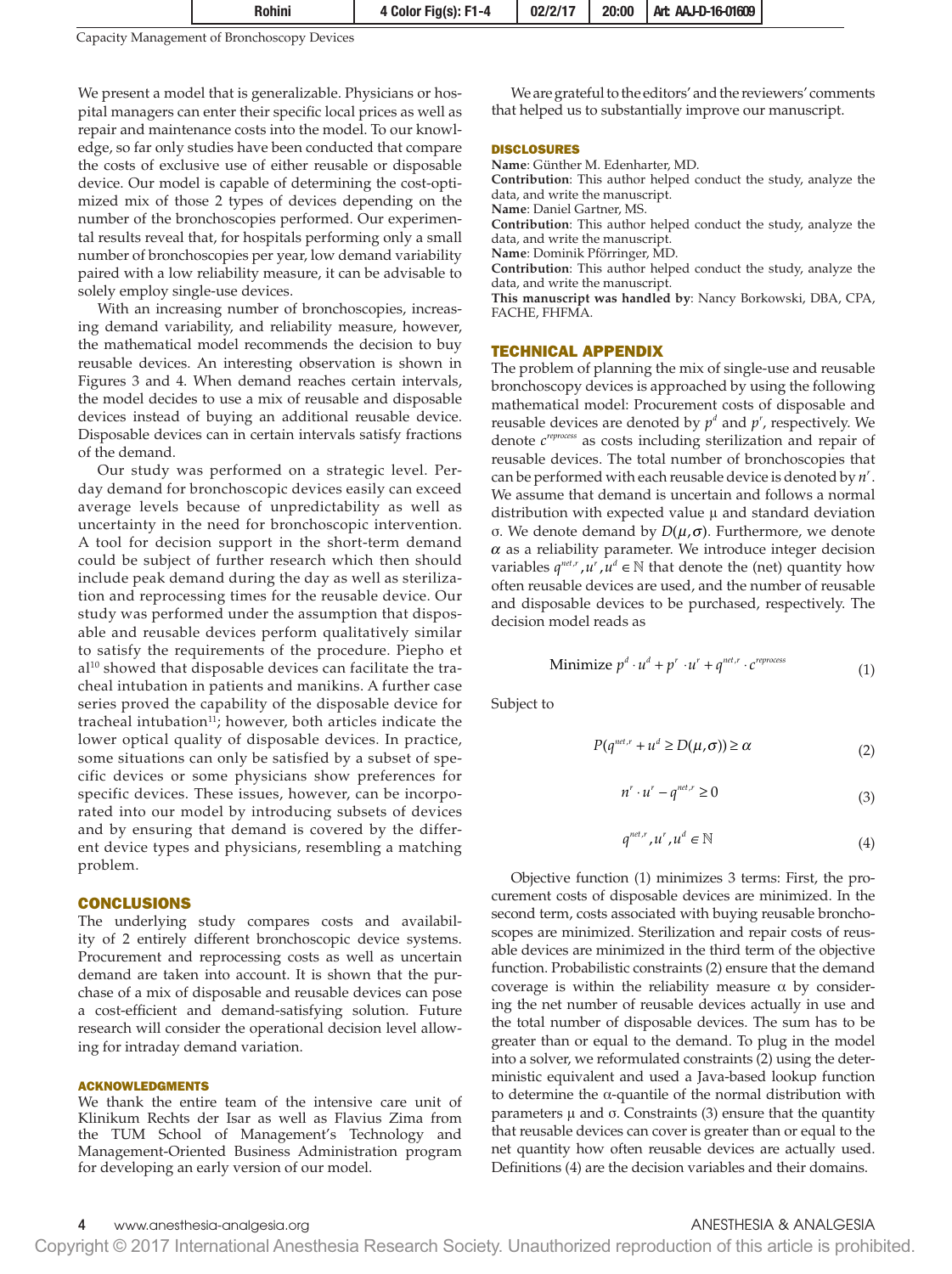| 02/2/17<br>Art AAJ-D-16-01609<br>20:00<br>Fig(s): F1-4<br>'ohin<br>. GOIOL FIG(S). . |
|--------------------------------------------------------------------------------------|
|--------------------------------------------------------------------------------------|

Capacity Management of Bronchoscopy Devices

We present a model that is generalizable. Physicians or hospital managers can enter their specific local prices as well as repair and maintenance costs into the model. To our knowledge, so far only studies have been conducted that compare the costs of exclusive use of either reusable or disposable device. Our model is capable of determining the cost-optimized mix of those 2 types of devices depending on the number of the bronchoscopies performed. Our experimental results reveal that, for hospitals performing only a small number of bronchoscopies per year, low demand variability paired with a low reliability measure, it can be advisable to solely employ single-use devices.

With an increasing number of bronchoscopies, increasing demand variability, and reliability measure, however, the mathematical model recommends the decision to buy reusable devices. An interesting observation is shown in Figures 3 and 4. When demand reaches certain intervals, the model decides to use a mix of reusable and disposable devices instead of buying an additional reusable device. Disposable devices can in certain intervals satisfy fractions of the demand.

Our study was performed on a strategic level. Perday demand for bronchoscopic devices easily can exceed average levels because of unpredictability as well as uncertainty in the need for bronchoscopic intervention. A tool for decision support in the short-term demand could be subject of further research which then should include peak demand during the day as well as sterilization and reprocessing times for the reusable device. Our study was performed under the assumption that disposable and reusable devices perform qualitatively similar to satisfy the requirements of the procedure. Piepho et al10 showed that disposable devices can facilitate the tracheal intubation in patients and manikins. A further case series proved the capability of the disposable device for tracheal intubation<sup>11</sup>; however, both articles indicate the lower optical quality of disposable devices. In practice, some situations can only be satisfied by a subset of specific devices or some physicians show preferences for specific devices. These issues, however, can be incorporated into our model by introducing subsets of devices and by ensuring that demand is covered by the different device types and physicians, resembling a matching problem.

#### CONCLUSIONS

The underlying study compares costs and availability of 2 entirely different bronchoscopic device systems. Procurement and reprocessing costs as well as uncertain demand are taken into account. It is shown that the purchase of a mix of disposable and reusable devices can pose a cost-eficient and demand-satisfying solution. Future research will consider the operational decision level allowing for intraday demand variation.

#### ACKNOWLEDGMENTS

We thank the entire team of the intensive care unit of Klinikum Rechts der Isar as well as Flavius Zima from the TUM School of Management's Technology and Management-Oriented Business Administration program for developing an early version of our model.

We are grateful to the editors' and the reviewers' comments that helped us to substantially improve our manuscript.

#### DISCLOSURES

**Name**: Günther M. Edenharter, MD.

**Contribution**: This author helped conduct the study, analyze the data, and write the manuscript. **Name**: Daniel Gartner, MS.

**Contribution**: This author helped conduct the study, analyze the data, and write the manuscript.

**Name**: Dominik Pförringer, MD.

**Contribution**: This author helped conduct the study, analyze the data, and write the manuscript.

**This manuscript was handled by**: Nancy Borkowski, DBA, CPA, FACHE, FHFMA.

#### TECHNICAL APPENDIX

The problem of planning the mix of single-use and reusable bronchoscopy devices is approached by using the following mathematical model: Procurement costs of disposable and reusable devices are denoted by  $p^d$  and  $p^r$ , respectively. We denote *c reprocess* as costs including sterilization and repair of reusable devices. The total number of bronchoscopies that can be performed with each reusable device is denoted by *n r* . We assume that demand is uncertain and follows a normal distribution with expected value μ and standard deviation σ. We denote demand by  $D(\mu, \sigma)$ . Furthermore, we denote  $\alpha$  as a reliability parameter. We introduce integer decision variables  $q^{net,r}, u^r, u^d \in \mathbb{N}$  that denote the (net) quantity how often reusable devices are used, and the number of reusable and disposable devices to be purchased, respectively. The decision model reads as

Minimize 
$$
p^d \cdot u^d + p^r \cdot u^r + q^{net,r} \cdot c^{reprocess}
$$
 (1)

Subject to

$$
P(q^{net,r} + u^d \ge D(\mu, \sigma)) \ge \alpha \tag{2}
$$

$$
n^r \cdot u^r - q^{net,r} \ge 0 \tag{3}
$$

$$
q^{net,r}, u^r, u^d \in \mathbb{N}
$$
 (4)

Objective function (1) minimizes 3 terms: First, the procurement costs of disposable devices are minimized. In the second term, costs associated with buying reusable bronchoscopes are minimized. Sterilization and repair costs of reusable devices are minimized in the third term of the objective function. Probabilistic constraints (2) ensure that the demand coverage is within the reliability measure α by considering the net number of reusable devices actually in use and the total number of disposable devices. The sum has to be greater than or equal to the demand. To plug in the model into a solver, we reformulated constraints (2) using the deterministic equivalent and used a Java-based lookup function to determine the α-quantile of the normal distribution with parameters μ and σ. Constraints (3) ensure that the quantity that reusable devices can cover is greater than or equal to the net quantity how often reusable devices are actually used. Definitions (4) are the decision variables and their domains.

## www.anesthesia-analgesia.org ANESTHESIA & ANALGESIA

Copyright © 2017 International Anesthesia Research Society. Unauthorized reproduction of this article is prohibited.